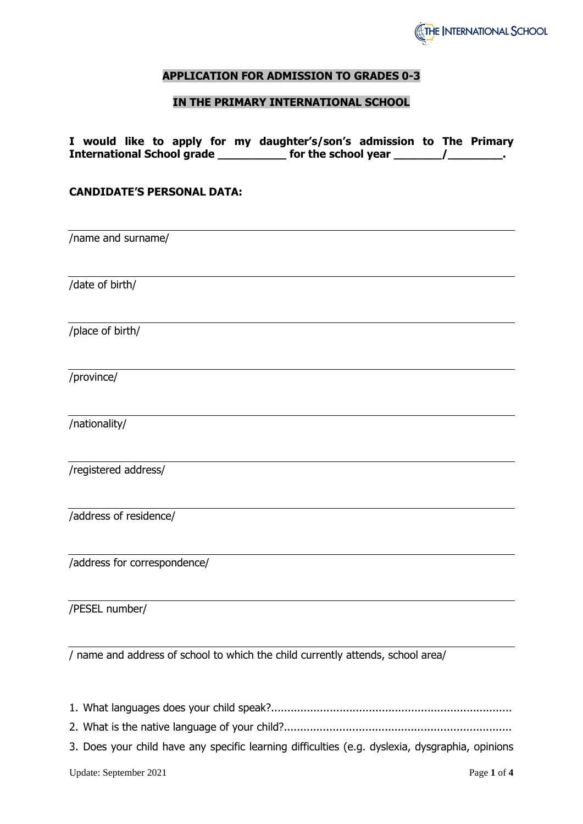

### **APPLICATION FOR ADMISSION TO GRADES 0-3**

#### **IN THE PRIMARY INTERNATIONAL SCHOOL**

|                                   |  |  | I would like to apply for my daughter's/son's admission to The Primary |  |  |
|-----------------------------------|--|--|------------------------------------------------------------------------|--|--|
| <b>International School grade</b> |  |  | for the school year                                                    |  |  |

#### **CANDIDATE'S PERSONAL DATA:**

/name and surname/ /date of birth/ /place of birth/ /province/ /nationality/ /registered address/ /address of residence/ /address for correspondence/ /PESEL number/

/ name and address of school to which the child currently attends, school area/

1. What languages does your child speak?..........................................................................

2. What is the native language of your child?......................................................................

3. Does your child have any specific learning difficulties (e.g. dyslexia, dysgraphia, opinions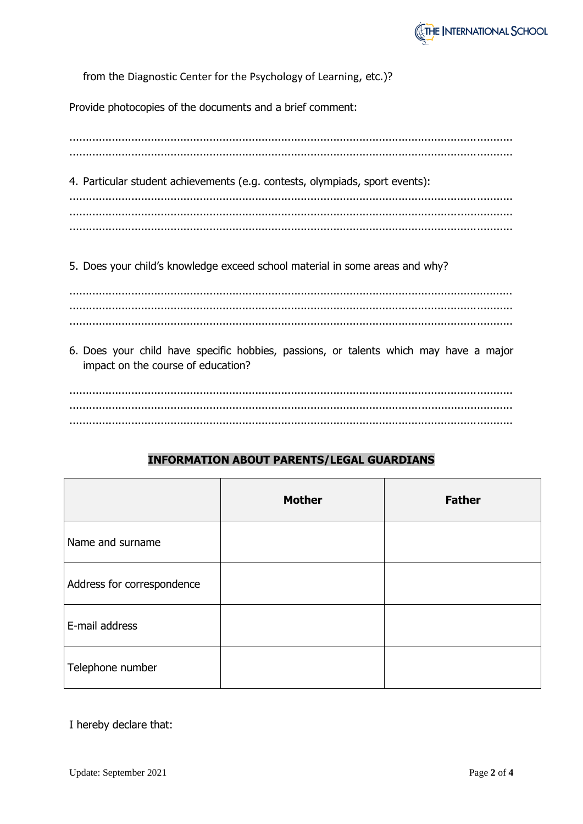

from the Diagnostic Center for the Psychology of Learning, etc.)?

Provide photocopies of the documents and a brief comment:

4. Particular student achievements (e.g. contests, olympiads, sport events): 

5. Does your child's knowledge exceed school material in some areas and why?

6. Does your child have specific hobbies, passions, or talents which may have a major impact on the course of education?

# **INFORMATION ABOUT PARENTS/LEGAL GUARDIANS**

|                            | <b>Mother</b> | <b>Father</b> |
|----------------------------|---------------|---------------|
| Name and surname           |               |               |
| Address for correspondence |               |               |
| E-mail address             |               |               |
| Telephone number           |               |               |

I hereby declare that: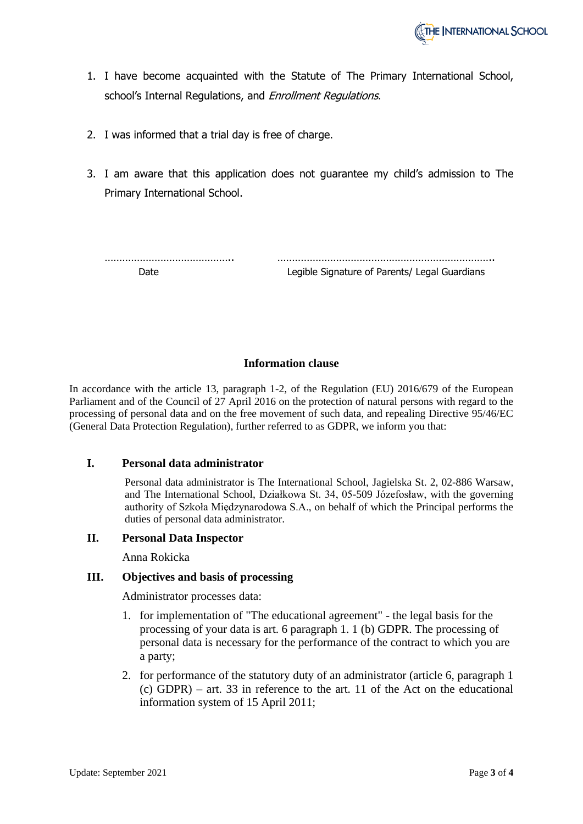- 1. I have become acquainted with the Statute of The Primary International School, school's Internal Regulations, and Enrollment Regulations.
- 2. I was informed that a trial day is free of charge.
- 3. I am aware that this application does not guarantee my child's admission to The Primary International School.

| Date: | Legible Signature of Parents/ Legal Guardians |
|-------|-----------------------------------------------|

## **Information clause**

In accordance with the article 13, paragraph 1-2, of the Regulation (EU) 2016/679 of the European Parliament and of the Council of 27 April 2016 on the protection of natural persons with regard to the processing of personal data and on the free movement of such data, and repealing Directive 95/46/EC (General Data Protection Regulation), further referred to as GDPR, we inform you that:

### **I. Personal data administrator**

Personal data administrator is The International School, Jagielska St. 2, 02-886 Warsaw, and The International School, Działkowa St. 34, 05-509 Józefosław, with the governing authority of Szkoła Międzynarodowa S.A., on behalf of which the Principal performs the duties of personal data administrator.

### **II. Personal Data Inspector**

Anna Rokicka

### **III. Objectives and basis of processing**

Administrator processes data:

- 1. for implementation of "The educational agreement" the legal basis for the processing of your data is art. 6 paragraph 1. 1 (b) GDPR. The processing of personal data is necessary for the performance of the contract to which you are a party;
- 2. for performance of the statutory duty of an administrator (article 6, paragraph 1 (c) GDPR) – art. 33 in reference to the art. 11 of the Act on the educational information system of 15 April 2011;